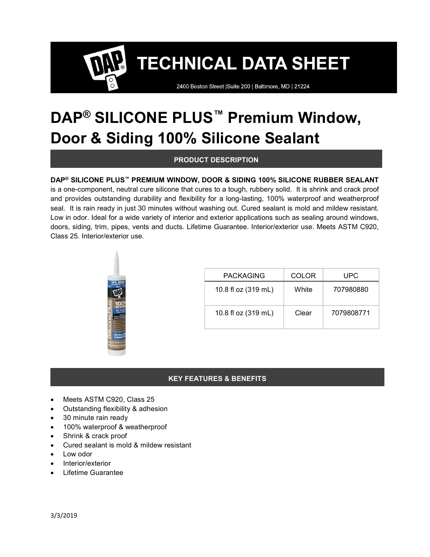2400 Boston Street | Suite 200 | Baltimore, MD | 21224

## DAP<sup>®</sup> SILICONE PLUS<sup>™</sup> Premium Window, Door & Siding 100% Silicone Sealant

## PRODUCT DESCRIPTION

## DAP® SILICONE PLUS™ PREMIUM WINDOW, DOOR & SIDING 100% SILICONE RUBBER SEALANT

is a one-component, neutral cure silicone that cures to a tough, rubbery solid. It is shrink and crack proof and provides outstanding durability and flexibility for a long-lasting, 100% waterproof and weatherproof seal. It is rain ready in just 30 minutes without washing out. Cured sealant is mold and mildew resistant. Low in odor. Ideal for a wide variety of interior and exterior applications such as sealing around windows, doors, siding, trim, pipes, vents and ducts. Lifetime Guarantee. Interior/exterior use. Meets ASTM C920, Class 25. Interior/exterior use.



| <b>PACKAGING</b>    | COLOR | UPC        |
|---------------------|-------|------------|
| 10.8 fl oz (319 mL) | White | 707980880  |
| 10.8 fl oz (319 mL) | Clear | 7079808771 |

## KEY FEATURES & BENEFITS

- Meets ASTM C920, Class 25
- Outstanding flexibility & adhesion
- 30 minute rain ready
- 100% waterproof & weatherproof
- Shrink & crack proof
- Cured sealant is mold & mildew resistant
- Low odor
- Interior/exterior
- Lifetime Guarantee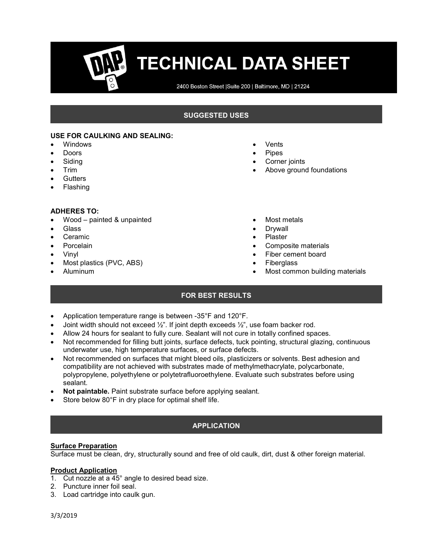2400 Boston Street | Suite 200 | Baltimore, MD | 21224

## SUGGESTED USES

#### USE FOR CAULKING AND SEALING:

- Windows
- Doors
- Siding
- Trim
- **Gutters**
- Flashing

#### ADHERES TO:

- Wood painted & unpainted
- Glass
- Ceramic
- Porcelain
- Vinyl
- Most plastics (PVC, ABS)
- Aluminum
- Vents
- Pipes
- Corner joints
- Above ground foundations
- Most metals
- Drywall
- Plaster
- Composite materials
- Fiber cement board
- Fiberglass
- Most common building materials

## FOR BEST RESULTS

- Application temperature range is between -35°F and 120°F.
- Joint width should not exceed  $\frac{1}{2}$ ". If joint depth exceeds  $\frac{1}{2}$ ", use foam backer rod.
- Allow 24 hours for sealant to fully cure. Sealant will not cure in totally confined spaces.
- Not recommended for filling butt joints, surface defects, tuck pointing, structural glazing, continuous underwater use, high temperature surfaces, or surface defects.
- Not recommended on surfaces that might bleed oils, plasticizers or solvents. Best adhesion and compatibility are not achieved with substrates made of methylmethacrylate, polycarbonate, polypropylene, polyethylene or polytetrafluoroethylene. Evaluate such substrates before using sealant.
- Not paintable. Paint substrate surface before applying sealant.
- Store below 80°F in dry place for optimal shelf life.

## APPLICATION

#### Surface Preparation

Surface must be clean, dry, structurally sound and free of old caulk, dirt, dust & other foreign material.

#### Product Application

- 1. Cut nozzle at a 45° angle to desired bead size.
- 2. Puncture inner foil seal.
- 3. Load cartridge into caulk gun.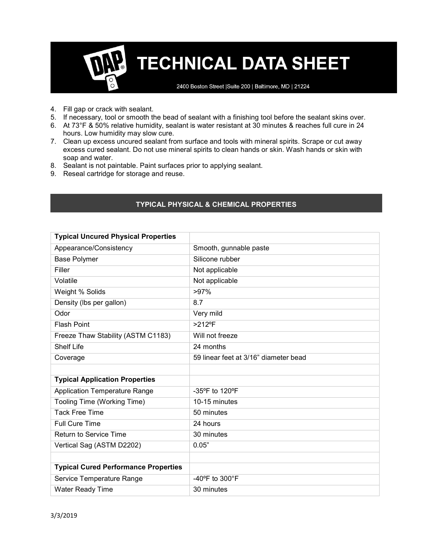2400 Boston Street | Suite 200 | Baltimore, MD | 21224

- 4. Fill gap or crack with sealant.
- 5. If necessary, tool or smooth the bead of sealant with a finishing tool before the sealant skins over.
- 6. At 73°F & 50% relative humidity, sealant is water resistant at 30 minutes & reaches full cure in 24 hours. Low humidity may slow cure.
- 7. Clean up excess uncured sealant from surface and tools with mineral spirits. Scrape or cut away excess cured sealant. Do not use mineral spirits to clean hands or skin. Wash hands or skin with soap and water.
- 8. Sealant is not paintable. Paint surfaces prior to applying sealant.
- 9. Reseal cartridge for storage and reuse.

## TYPICAL PHYSICAL & CHEMICAL PROPERTIES

| <b>Typical Uncured Physical Properties</b>  |                                       |  |
|---------------------------------------------|---------------------------------------|--|
| Appearance/Consistency                      | Smooth, gunnable paste                |  |
| <b>Base Polymer</b>                         | Silicone rubber                       |  |
| Filler                                      | Not applicable                        |  |
| Volatile                                    | Not applicable                        |  |
| Weight % Solids                             | $>97\%$                               |  |
| Density (Ibs per gallon)                    | 8.7                                   |  |
| Odor                                        | Very mild                             |  |
| <b>Flash Point</b>                          | $>212$ °F                             |  |
| Freeze Thaw Stability (ASTM C1183)          | Will not freeze                       |  |
| <b>Shelf Life</b>                           | 24 months                             |  |
| Coverage                                    | 59 linear feet at 3/16" diameter bead |  |
|                                             |                                       |  |
| <b>Typical Application Properties</b>       |                                       |  |
| <b>Application Temperature Range</b>        | -35°F to 120°F                        |  |
| Tooling Time (Working Time)                 | 10-15 minutes                         |  |
| <b>Tack Free Time</b>                       | 50 minutes                            |  |
| <b>Full Cure Time</b>                       | 24 hours                              |  |
| <b>Return to Service Time</b>               | 30 minutes                            |  |
| Vertical Sag (ASTM D2202)                   | 0.05"                                 |  |
|                                             |                                       |  |
| <b>Typical Cured Performance Properties</b> |                                       |  |
| Service Temperature Range                   | -40 $\degree$ F to 300 $\degree$ F    |  |
| Water Ready Time                            | 30 minutes                            |  |